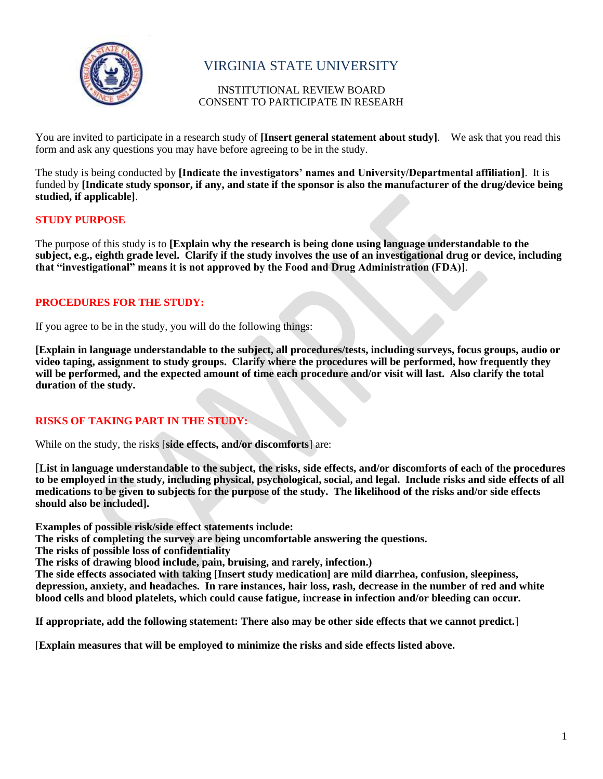

# VIRGINIA STATE UNIVERSITY

## INSTITUTIONAL REVIEW BOARD CONSENT TO PARTICIPATE IN RESEARH

You are invited to participate in a research study of **[Insert general statement about study]**. We ask that you read this form and ask any questions you may have before agreeing to be in the study.

The study is being conducted by **[Indicate the investigators' names and University/Departmental affiliation]**. It is funded by **[Indicate study sponsor, if any, and state if the sponsor is also the manufacturer of the drug/device being studied, if applicable]**.

## **STUDY PURPOSE**

The purpose of this study is to **[Explain why the research is being done using language understandable to the subject, e.g., eighth grade level. Clarify if the study involves the use of an investigational drug or device, including that "investigational" means it is not approved by the Food and Drug Administration (FDA)]**.

# **PROCEDURES FOR THE STUDY:**

If you agree to be in the study, you will do the following things:

**[Explain in language understandable to the subject, all procedures/tests, including surveys, focus groups, audio or video taping, assignment to study groups. Clarify where the procedures will be performed, how frequently they**  will be performed, and the expected amount of time each procedure and/or visit will last. Also clarify the total **duration of the study.** 

# **RISKS OF TAKING PART IN THE STUDY:**

While on the study, the risks [**side effects, and/or discomforts**] are:

[**List in language understandable to the subject, the risks, side effects, and/or discomforts of each of the procedures to be employed in the study, including physical, psychological, social, and legal. Include risks and side effects of all medications to be given to subjects for the purpose of the study. The likelihood of the risks and/or side effects should also be included].**

**Examples of possible risk/side effect statements include:**

**The risks of completing the survey are being uncomfortable answering the questions.**

**The risks of possible loss of confidentiality**

**The risks of drawing blood include, pain, bruising, and rarely, infection.)**

**The side effects associated with taking [Insert study medication] are mild diarrhea, confusion, sleepiness, depression, anxiety, and headaches. In rare instances, hair loss, rash, decrease in the number of red and white blood cells and blood platelets, which could cause fatigue, increase in infection and/or bleeding can occur.**

**If appropriate, add the following statement: There also may be other side effects that we cannot predict.**]

[**Explain measures that will be employed to minimize the risks and side effects listed above.**